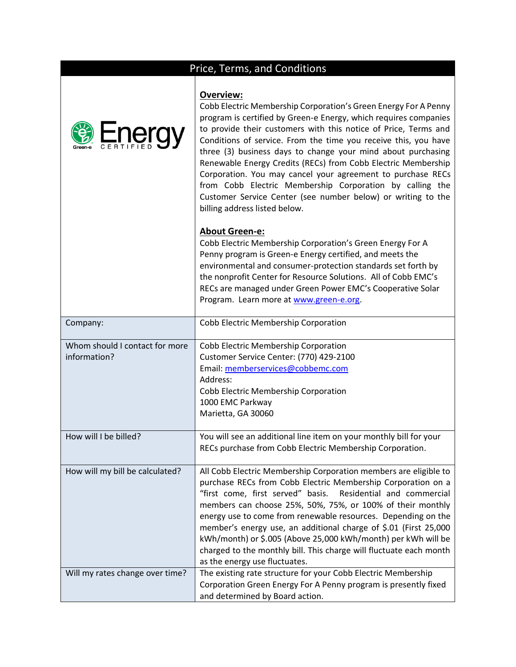## **Overview:**

| <b>Energy</b>                                  | Overview:<br>Cobb Electric Membership Corporation's Green Energy For A Penny<br>program is certified by Green-e Energy, which requires companies<br>to provide their customers with this notice of Price, Terms and<br>Conditions of service. From the time you receive this, you have<br>three (3) business days to change your mind about purchasing<br>Renewable Energy Credits (RECs) from Cobb Electric Membership<br>Corporation. You may cancel your agreement to purchase RECs<br>from Cobb Electric Membership Corporation by calling the<br>Customer Service Center (see number below) or writing to the<br>billing address listed below. |
|------------------------------------------------|-----------------------------------------------------------------------------------------------------------------------------------------------------------------------------------------------------------------------------------------------------------------------------------------------------------------------------------------------------------------------------------------------------------------------------------------------------------------------------------------------------------------------------------------------------------------------------------------------------------------------------------------------------|
|                                                | <b>About Green-e:</b><br>Cobb Electric Membership Corporation's Green Energy For A<br>Penny program is Green-e Energy certified, and meets the<br>environmental and consumer-protection standards set forth by<br>the nonprofit Center for Resource Solutions. All of Cobb EMC's<br>RECs are managed under Green Power EMC's Cooperative Solar<br>Program. Learn more at www.green-e.org.                                                                                                                                                                                                                                                           |
| Company:                                       | Cobb Electric Membership Corporation                                                                                                                                                                                                                                                                                                                                                                                                                                                                                                                                                                                                                |
| Whom should I contact for more<br>information? | Cobb Electric Membership Corporation<br>Customer Service Center: (770) 429-2100<br>Email: memberservices@cobbemc.com<br>Address:<br>Cobb Electric Membership Corporation<br>1000 EMC Parkway<br>Marietta, GA 30060                                                                                                                                                                                                                                                                                                                                                                                                                                  |
| How will I be billed?                          | You will see an additional line item on your monthly bill for your<br>RECs purchase from Cobb Electric Membership Corporation.                                                                                                                                                                                                                                                                                                                                                                                                                                                                                                                      |
| How will my bill be calculated?                | All Cobb Electric Membership Corporation members are eligible to<br>purchase RECs from Cobb Electric Membership Corporation on a<br>"first come, first served" basis.<br>Residential and commercial<br>members can choose 25%, 50%, 75%, or 100% of their monthly<br>energy use to come from renewable resources. Depending on the<br>member's energy use, an additional charge of \$.01 (First 25,000<br>kWh/month) or \$.005 (Above 25,000 kWh/month) per kWh will be<br>charged to the monthly bill. This charge will fluctuate each month<br>as the energy use fluctuates.                                                                      |
| Will my rates change over time?                | The existing rate structure for your Cobb Electric Membership<br>Corporation Green Energy For A Penny program is presently fixed<br>and determined by Board action.                                                                                                                                                                                                                                                                                                                                                                                                                                                                                 |